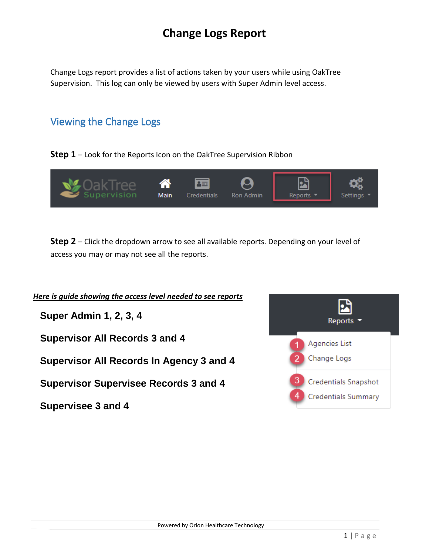## **Change Logs Report**

Change Logs report provides a list of actions taken by your users while using OakTree Supervision. This log can only be viewed by users with Super Admin level access.

## Viewing the Change Logs

**Supervisee 3 and 4** 

**Step 1** – Look for the Reports Icon on the OakTree Supervision Ribbon



**Step 2** – Click the dropdown arrow to see all available reports. Depending on your level of access you may or may not see all the reports.

| Here is guide showing the access level needed to see reports |                               |
|--------------------------------------------------------------|-------------------------------|
| <b>Super Admin 1, 2, 3, 4</b>                                | Reports $\blacktriangleright$ |
| <b>Supervisor All Records 3 and 4</b>                        | Agencies List                 |
| Supervisor All Records In Agency 3 and 4                     | Change Logs                   |
| <b>Supervisor Supervisee Records 3 and 4</b>                 | <b>Credentials Snapshot</b>   |
|                                                              | <b>Credentials Summary</b>    |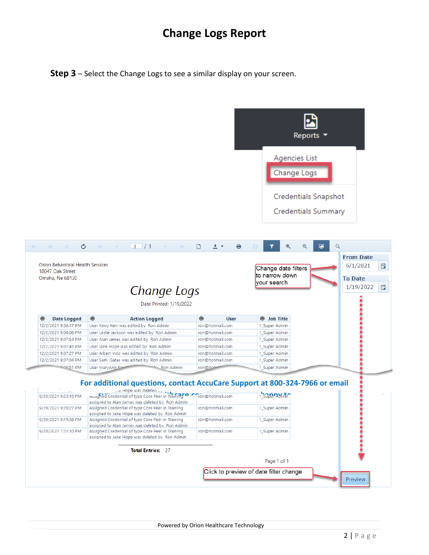## **Change Logs Report**

**Step 3** – Select the Change Logs to see a similar display on your screen.